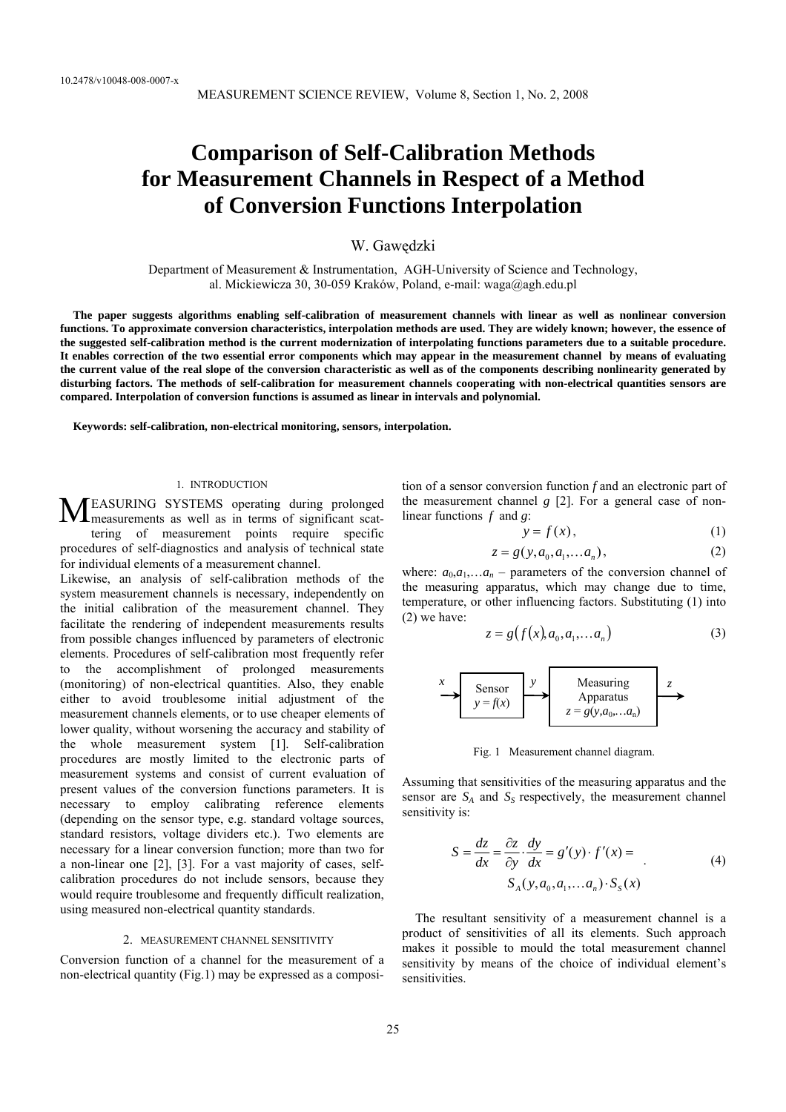# **Comparison of Self-Calibration Methods for Measurement Channels in Respect of a Method of Conversion Functions Interpolation**

# W. Gawędzki

Department of Measurement & Instrumentation, AGH-University of Science and Technology, al. Mickiewicza 30, 30-059 Kraków, Poland, e-mail: waga@agh.edu.pl

**The paper suggests algorithms enabling self-calibration of measurement channels with linear as well as nonlinear conversion functions. To approximate conversion characteristics, interpolation methods are used. They are widely known; however, the essence of the suggested self-calibration method is the current modernization of interpolating functions parameters due to a suitable procedure. It enables correction of the two essential error components which may appear in the measurement channel by means of evaluating the current value of the real slope of the conversion characteristic as well as of the components describing nonlinearity generated by disturbing factors. The methods of self-calibration for measurement channels cooperating with non-electrical quantities sensors are compared. Interpolation of conversion functions is assumed as linear in intervals and polynomial.** 

**Keywords: self-calibration, non-electrical monitoring, sensors, interpolation.** 

#### 1. INTRODUCTION

EASURING SYSTEMS operating during prolonged MEASURING SYSTEMS operating during prolonged measurements as well as in terms of significant scattering of measurement points require specific procedures of self-diagnostics and analysis of technical state for individual elements of a measurement channel.

Likewise, an analysis of self-calibration methods of the system measurement channels is necessary, independently on the initial calibration of the measurement channel. They facilitate the rendering of independent measurements results from possible changes influenced by parameters of electronic elements. Procedures of self-calibration most frequently refer to the accomplishment of prolonged measurements (monitoring) of non-electrical quantities. Also, they enable either to avoid troublesome initial adjustment of the measurement channels elements, or to use cheaper elements of lower quality, without worsening the accuracy and stability of the whole measurement system [1]. Self-calibration procedures are mostly limited to the electronic parts of measurement systems and consist of current evaluation of present values of the conversion functions parameters. It is necessary to employ calibrating reference elements (depending on the sensor type, e.g. standard voltage sources, standard resistors, voltage dividers etc.). Two elements are necessary for a linear conversion function; more than two for a non-linear one [2], [3]. For a vast majority of cases, selfcalibration procedures do not include sensors, because they would require troublesome and frequently difficult realization, using measured non-electrical quantity standards.

#### 2. MEASUREMENT CHANNEL SENSITIVITY

Conversion function of a channel for the measurement of a non-electrical quantity (Fig.1) may be expressed as a composition of a sensor conversion function *f* and an electronic part of the measurement channel *g* [2]. For a general case of nonlinear functions *f* and *g*:

$$
y = f(x),
$$
 (1)

$$
z = g(y, a_0, a_1, \dots a_n),\tag{2}
$$

where:  $a_0, a_1, \ldots, a_n$  – parameters of the conversion channel of the measuring apparatus, which may change due to time, temperature, or other influencing factors. Substituting (1) into (2) we have:

$$
z = g(f(x), a_0, a_1, \dots a_n)
$$
 (3)



Fig. 1 Measurement channel diagram.

Assuming that sensitivities of the measuring apparatus and the sensor are  $S_A$  and  $S_S$  respectively, the measurement channel sensitivity is:

$$
S = \frac{dz}{dx} = \frac{\partial z}{\partial y} \cdot \frac{dy}{dx} = g'(y) \cdot f'(x) =
$$
  
\n
$$
S_A(y, a_0, a_1, \dots a_n) \cdot S_S(x)
$$
 (4)

The resultant sensitivity of a measurement channel is a product of sensitivities of all its elements. Such approach makes it possible to mould the total measurement channel sensitivity by means of the choice of individual element's sensitivities.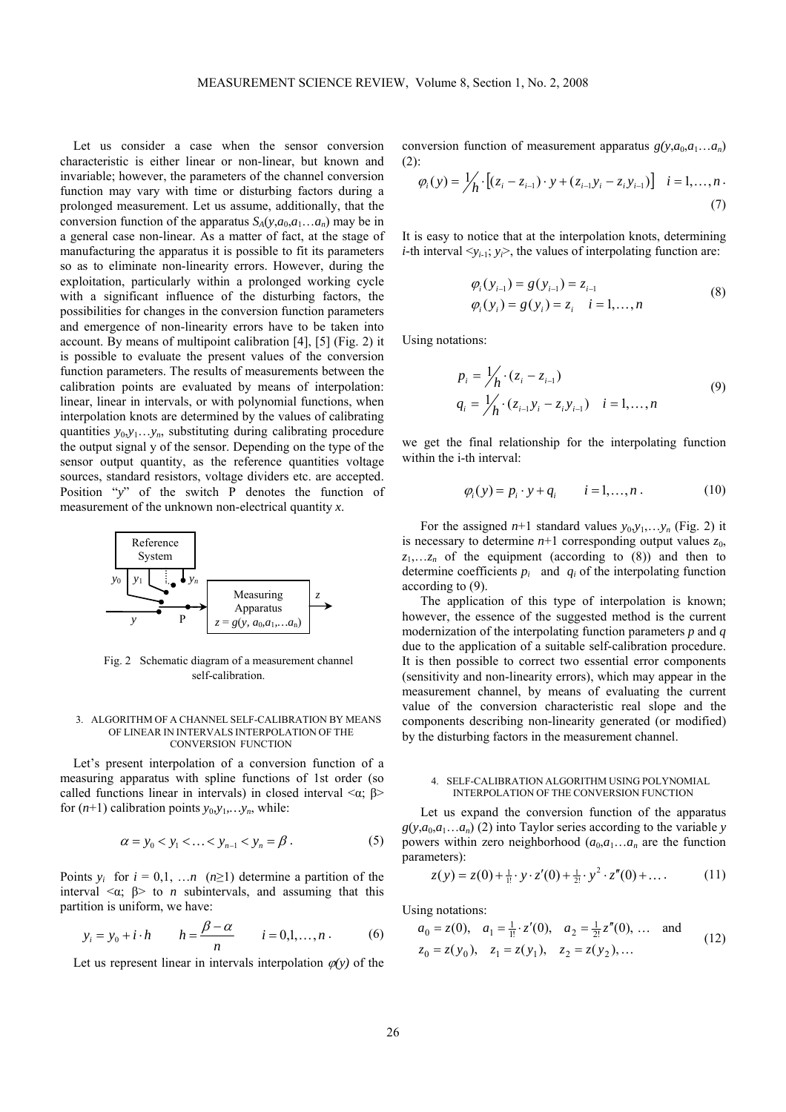Let us consider a case when the sensor conversion characteristic is either linear or non-linear, but known and invariable; however, the parameters of the channel conversion function may vary with time or disturbing factors during a prolonged measurement. Let us assume, additionally, that the conversion function of the apparatus  $S_A(y, a_0, a_1... a_n)$  may be in a general case non-linear. As a matter of fact, at the stage of manufacturing the apparatus it is possible to fit its parameters so as to eliminate non-linearity errors. However, during the exploitation, particularly within a prolonged working cycle with a significant influence of the disturbing factors, the possibilities for changes in the conversion function parameters and emergence of non-linearity errors have to be taken into account. By means of multipoint calibration [4], [5] (Fig. 2) it is possible to evaluate the present values of the conversion function parameters. The results of measurements between the calibration points are evaluated by means of interpolation: linear, linear in intervals, or with polynomial functions, when interpolation knots are determined by the values of calibrating quantities  $y_0, y_1 \ldots y_n$ , substituting during calibrating procedure the output signal y of the sensor. Depending on the type of the sensor output quantity, as the reference quantities voltage sources, standard resistors, voltage dividers etc. are accepted. Position "*y*" of the switch P denotes the function of measurement of the unknown non-electrical quantity *x*.



Fig. 2 Schematic diagram of a measurement channel self-calibration.

#### 3. ALGORITHM OF A CHANNEL SELF-CALIBRATION BY MEANS OF LINEAR IN INTERVALS INTERPOLATION OF THE CONVERSION FUNCTION

Let's present interpolation of a conversion function of a measuring apparatus with spline functions of 1st order (so called functions linear in intervals) in closed interval  $\langle \alpha; \beta \rangle$ for  $(n+1)$  calibration points  $y_0, y_1, \ldots, y_n$ , while:

$$
\alpha = y_0 < y_1 < \ldots < y_{n-1} < y_n = \beta \,. \tag{5}
$$

Points  $y_i$  for  $i = 0,1, \ldots n$  ( $n \ge 1$ ) determine a partition of the interval  $\langle \alpha; \beta \rangle$  to *n* subintervals, and assuming that this partition is uniform, we have:

$$
y_i = y_0 + i \cdot h
$$
  $h = \frac{\beta - \alpha}{n}$   $i = 0, 1, ..., n$  (6)

Let us represent linear in intervals interpolation  $\varphi(y)$  of the

conversion function of measurement apparatus  $g(y, a_0, a_1, \ldots, a_n)$  $(2)$ :

$$
\varphi_i(y) = \frac{1}{h} \cdot \left[ (z_i - z_{i-1}) \cdot y + (z_{i-1}y_i - z_iy_{i-1}) \right] \quad i = 1, \dots, n \,.
$$
\n(7)

It is easy to notice that at the interpolation knots, determining *i*-th interval  $\langle y_{i-1}; y_i \rangle$ , the values of interpolating function are:

$$
\varphi_i(y_{i-1}) = g(y_{i-1}) = z_{i-1}
$$
  
\n
$$
\varphi_i(y_i) = g(y_i) = z_i \quad i = 1,...,n
$$
\n(8)

Using notations:

$$
p_i = \frac{1}{h} \cdot (z_i - z_{i-1})
$$
  
\n
$$
q_i = \frac{1}{h} \cdot (z_{i-1} y_i - z_i y_{i-1}) \quad i = 1, ..., n
$$
\n(9)

we get the final relationship for the interpolating function within the i-th interval:

$$
\varphi_i(y) = p_i \cdot y + q_i \qquad i = 1, ..., n \,.
$$
 (10)

For the assigned  $n+1$  standard values  $y_0, y_1, \ldots, y_n$  (Fig. 2) it is necessary to determine  $n+1$  corresponding output values  $z_0$ ,  $z_1, \ldots, z_n$  of the equipment (according to (8)) and then to determine coefficients  $p_i$  and  $q_i$  of the interpolating function according to (9).

The application of this type of interpolation is known; however, the essence of the suggested method is the current modernization of the interpolating function parameters *p* and *q* due to the application of a suitable self-calibration procedure. It is then possible to correct two essential error components (sensitivity and non-linearity errors), which may appear in the measurement channel, by means of evaluating the current value of the conversion characteristic real slope and the components describing non-linearity generated (or modified) by the disturbing factors in the measurement channel.

#### 4. SELF-CALIBRATION ALGORITHM USING POLYNOMIAL INTERPOLATION OF THE CONVERSION FUNCTION

Let us expand the conversion function of the apparatus  $g(y, a_0, a_1 \ldots a_n)$  (2) into Taylor series according to the variable *y* powers within zero neighborhood  $(a_0, a_1... a_n$  are the function parameters):

$$
z(y) = z(0) + \frac{1}{1!} \cdot y \cdot z'(0) + \frac{1}{2!} \cdot y^2 \cdot z''(0) + \dots
$$
 (11)

Using notations:

$$
a_0 = z(0)
$$
,  $a_1 = \frac{1}{1!} \cdot z'(0)$ ,  $a_2 = \frac{1}{2!} z''(0)$ , ... and  
\n $z_0 = z(y_0)$ ,  $z_1 = z(y_1)$ ,  $z_2 = z(y_2)$ , ... (12)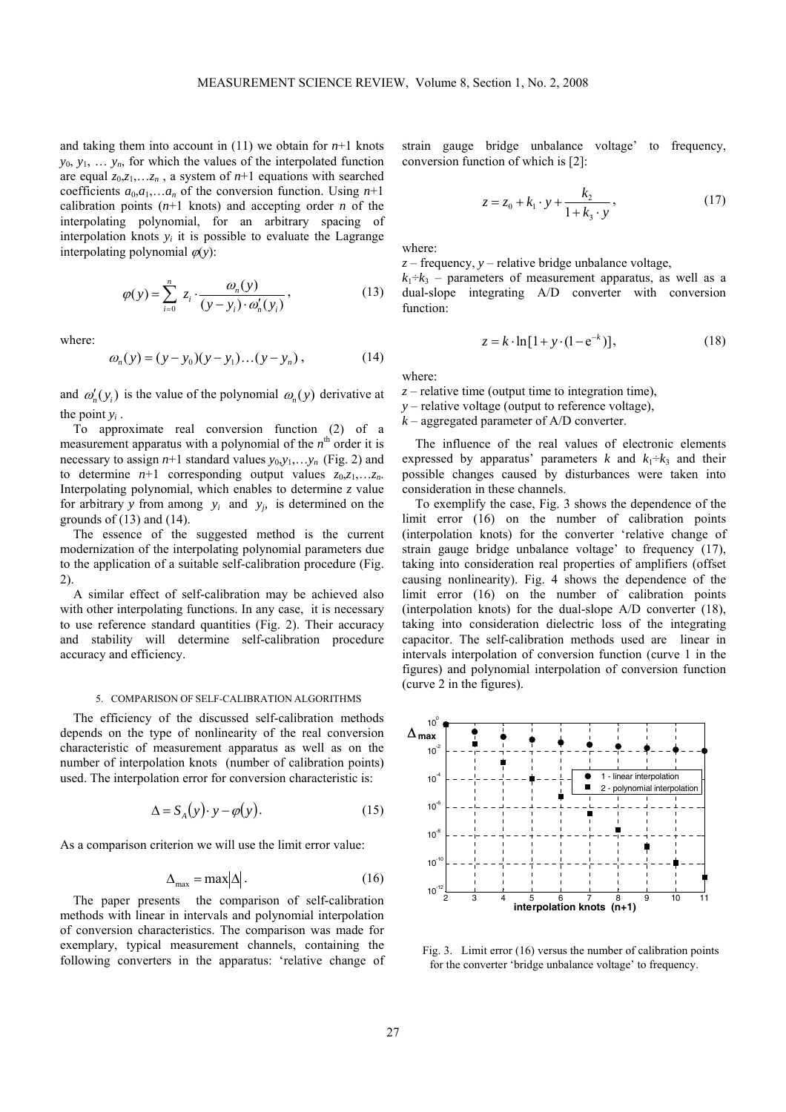and taking them into account in  $(11)$  we obtain for  $n+1$  knots  $y_0, y_1, \ldots, y_n$ , for which the values of the interpolated function are equal  $z_0, z_1, \ldots, z_n$ , a system of  $n+1$  equations with searched coefficients  $a_0, a_1, \ldots, a_n$  of the conversion function. Using  $n+1$ calibration points  $(n+1 \text{ knots})$  and accepting order *n* of the interpolating polynomial, for an arbitrary spacing of interpolation knots  $y_i$  it is possible to evaluate the Lagrange interpolating polynomial  $\varphi(y)$ :

$$
\varphi(y) = \sum_{i=0}^{n} z_i \cdot \frac{\omega_n(y)}{(y - y_i) \cdot \omega'_n(y_i)},
$$
\n(13)

where:

$$
\omega_n(y) = (y - y_0)(y - y_1)\dots(y - y_n),\tag{14}
$$

and  $\omega'_n(y_i)$  is the value of the polynomial  $\omega_n(y)$  derivative at the point *yi* .

To approximate real conversion function (2) of a measurement apparatus with a polynomial of the  $n<sup>th</sup>$  order it is necessary to assign  $n+1$  standard values  $y_0, y_1, \ldots, y_n$  (Fig. 2) and to determine  $n+1$  corresponding output values  $z_0, z_1, \ldots, z_n$ . Interpolating polynomial, which enables to determine *z* value for arbitrary *y* from among  $y_i$  and  $y_j$  is determined on the grounds of  $(13)$  and  $(14)$ .

The essence of the suggested method is the current modernization of the interpolating polynomial parameters due to the application of a suitable self-calibration procedure (Fig. 2).

A similar effect of self-calibration may be achieved also with other interpolating functions. In any case, it is necessary to use reference standard quantities (Fig. 2). Their accuracy and stability will determine self-calibration procedure accuracy and efficiency.

## 5. COMPARISON OF SELF-CALIBRATION ALGORITHMS

The efficiency of the discussed self-calibration methods depends on the type of nonlinearity of the real conversion characteristic of measurement apparatus as well as on the number of interpolation knots (number of calibration points) used. The interpolation error for conversion characteristic is:

$$
\Delta = S_A(y) \cdot y - \varphi(y). \tag{15}
$$

As a comparison criterion we will use the limit error value:

$$
\Delta_{\text{max}} = \text{max} |\Delta| \,. \tag{16}
$$

The paper presents the comparison of self-calibration methods with linear in intervals and polynomial interpolation of conversion characteristics. The comparison was made for exemplary, typical measurement channels, containing the following converters in the apparatus: 'relative change of

strain gauge bridge unbalance voltage' to frequency, conversion function of which is [2]:

$$
z = z_0 + k_1 \cdot y + \frac{k_2}{1 + k_3 \cdot y},
$$
 (17)

where:

*z* – frequency, *y* – relative bridge unbalance voltage,

 $k_1 \div k_3$  – parameters of measurement apparatus, as well as a dual-slope integrating A/D converter with conversion function:

$$
z = k \cdot \ln[1 + y \cdot (1 - e^{-k})],\tag{18}
$$

where:

 $z$  – relative time (output time to integration time), *y* – relative voltage (output to reference voltage), *k* – aggregated parameter of A/D converter.

The influence of the real values of electronic elements expressed by apparatus' parameters  $k$  and  $k_1 \div k_3$  and their possible changes caused by disturbances were taken into consideration in these channels.

To exemplify the case, Fig. 3 shows the dependence of the limit error (16) on the number of calibration points (interpolation knots) for the converter 'relative change of strain gauge bridge unbalance voltage' to frequency (17), taking into consideration real properties of amplifiers (offset causing nonlinearity). Fig. 4 shows the dependence of the limit error (16) on the number of calibration points (interpolation knots) for the dual-slope A/D converter (18), taking into consideration dielectric loss of the integrating capacitor. The self-calibration methods used are linear in intervals interpolation of conversion function (curve 1 in the figures) and polynomial interpolation of conversion function (curve 2 in the figures).



Fig. 3. Limit error (16) versus the number of calibration points for the converter 'bridge unbalance voltage' to frequency.